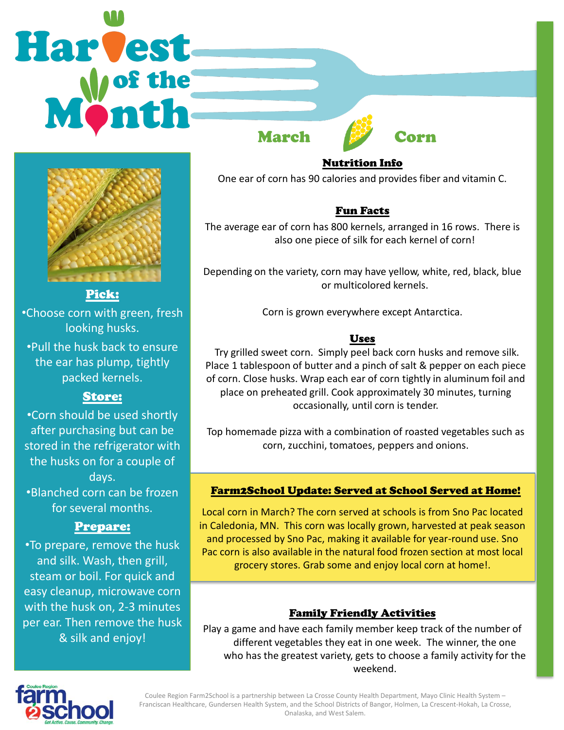# Harvest March Corn



Pick: •Choose corn with green, fresh looking husks.

•Pull the husk back to ensure the ear has plump, tightly packed kernels.

# Store:

•Corn should be used shortly after purchasing but can be stored in the refrigerator with the husks on for a couple of days. •Blanched corn can be frozen for several months.

# Prepare:

•To prepare, remove the husk and silk. Wash, then grill, steam or boil. For quick and easy cleanup, microwave corn with the husk on, 2-3 minutes per ear. Then remove the husk & silk and enjoy!

Nutrition Info

One ear of corn has 90 calories and provides fiber and vitamin C.

# Fun Facts

The average ear of corn has 800 kernels, arranged in 16 rows. There is also one piece of silk for each kernel of corn!

Depending on the variety, corn may have yellow, white, red, black, blue or multicolored kernels.

Corn is grown everywhere except Antarctica.

# Uses

Try grilled sweet corn. Simply peel back corn husks and remove silk. Place 1 tablespoon of butter and a pinch of salt & pepper on each piece of corn. Close husks. Wrap each ear of corn tightly in aluminum foil and place on preheated grill. Cook approximately 30 minutes, turning occasionally, until corn is tender.

Top homemade pizza with a combination of roasted vegetables such as corn, zucchini, tomatoes, peppers and onions.

## Farm2School Update: Served at School Served at Home!

Local corn in March? The corn served at schools is from Sno Pac located in Caledonia, MN. This corn was locally grown, harvested at peak season and processed by Sno Pac, making it available for year-round use. Sno Pac corn is also available in the natural food frozen section at most local grocery stores. Grab some and enjoy local corn at home!.

# Family Friendly Activities

Play a game and have each family member keep track of the number of different vegetables they eat in one week. The winner, the one who has the greatest variety, gets to choose a family activity for the weekend.



Coulee Region Farm2School is a partnership between La Crosse County Health Department, Mayo Clinic Health System – Franciscan Healthcare, Gundersen Health System, and the School Districts of Bangor, Holmen, La Crescent-Hokah, La Crosse, Onalaska, and West Salem.